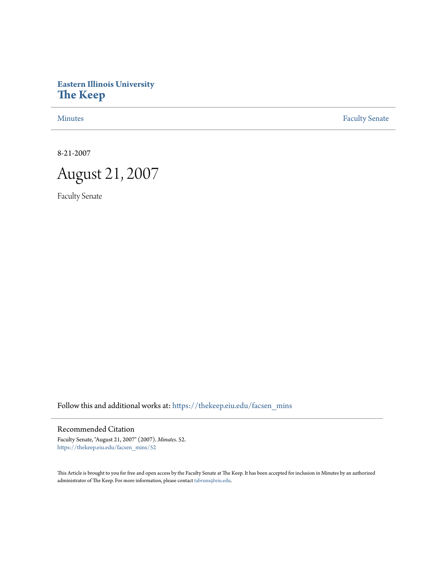# **Eastern Illinois University [The Keep](https://thekeep.eiu.edu?utm_source=thekeep.eiu.edu%2Ffacsen_mins%2F52&utm_medium=PDF&utm_campaign=PDFCoverPages)**

[Minutes](https://thekeep.eiu.edu/facsen_mins?utm_source=thekeep.eiu.edu%2Ffacsen_mins%2F52&utm_medium=PDF&utm_campaign=PDFCoverPages) **[Faculty Senate](https://thekeep.eiu.edu/fac_senate?utm_source=thekeep.eiu.edu%2Ffacsen_mins%2F52&utm_medium=PDF&utm_campaign=PDFCoverPages)** 

8-21-2007

August 21, 2007

Faculty Senate

Follow this and additional works at: [https://thekeep.eiu.edu/facsen\\_mins](https://thekeep.eiu.edu/facsen_mins?utm_source=thekeep.eiu.edu%2Ffacsen_mins%2F52&utm_medium=PDF&utm_campaign=PDFCoverPages)

Recommended Citation

Faculty Senate, "August 21, 2007" (2007). *Minutes*. 52. [https://thekeep.eiu.edu/facsen\\_mins/52](https://thekeep.eiu.edu/facsen_mins/52?utm_source=thekeep.eiu.edu%2Ffacsen_mins%2F52&utm_medium=PDF&utm_campaign=PDFCoverPages)

This Article is brought to you for free and open access by the Faculty Senate at The Keep. It has been accepted for inclusion in Minutes by an authorized administrator of The Keep. For more information, please contact [tabruns@eiu.edu.](mailto:tabruns@eiu.edu)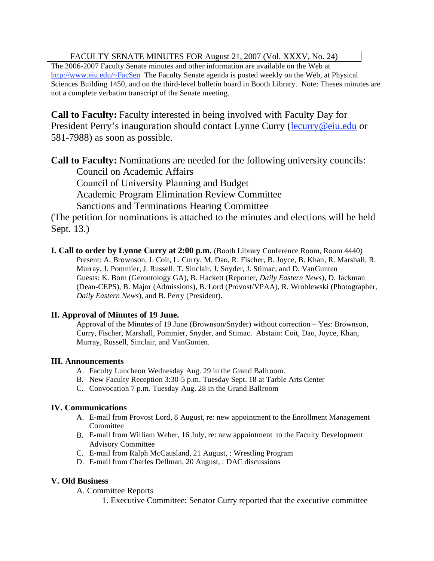## FACULTY SENATE MINUTES FOR August 21, 2007 (Vol. XXXV, No. 24)

The 2006-2007 Faculty Senate minutes and other information are available on the Web at http://www.eiu.edu/~FacSen The Faculty Senate agenda is posted weekly on the Web, at Physical Sciences Building 1450, and on the third-level bulletin board in Booth Library. Note: Theses minutes are not a complete verbatim transcript of the Senate meeting.

**Call to Faculty:** Faculty interested in being involved with Faculty Day for President Perry's inauguration should contact Lynne Curry (lecurry@eiu.edu or 581-7988) as soon as possible.

**Call to Faculty:** Nominations are needed for the following university councils:

Council on Academic Affairs

Council of University Planning and Budget

Academic Program Elimination Review Committee

Sanctions and Terminations Hearing Committee

(The petition for nominations is attached to the minutes and elections will be held Sept. 13.)

**I. Call to order by Lynne Curry at 2:00 p.m.** (Booth Library Conference Room, Room 4440) Present: A. Brownson, J. Coit, L. Curry, M. Dao, R. Fischer, B. Joyce, B. Khan, R. Marshall, R. Murray, J. Pommier, J. Russell, T. Sinclair, J. Snyder, J. Stimac, and D. VanGunten Guests: K. Born (Gerontology GA), B. Hackett (Reporter, *Daily Eastern News*), D. Jackman (Dean-CEPS), B. Major (Admissions), B. Lord (Provost/VPAA), R. Wroblewski (Photographer, *Daily Eastern News*), and B. Perry (President).

## **II. Approval of Minutes of 19 June.**

 Approval of the Minutes of 19 June (Brownson/Snyder) without correction – Yes: Brownson, Curry, Fischer, Marshall, Pommier, Snyder, and Stimac. Abstain: Coit, Dao, Joyce, Khan, Murray, Russell, Sinclair, and VanGunten.

## **III. Announcements**

- A. Faculty Luncheon Wednesday Aug. 29 in the Grand Ballroom.
- B. New Faculty Reception 3:30-5 p.m. Tuesday Sept. 18 at Tarble Arts Center
- C. Convocation 7 p.m. Tuesday Aug. 28 in the Grand Ballroom

## **IV. Communications**

- A. E-mail from Provost Lord, 8 August, re: new appointment to the Enrollment Management Committee
- B. E-mail from William Weber, 16 July, re: new appointment to the Faculty Development Advisory Committee
- C. E-mail from Ralph McCausland, 21 August, : Wrestling Program
- D. E-mail from Charles Dellman, 20 August, : DAC discussions

## **V. Old Business**

A. Committee Reports

1. Executive Committee: Senator Curry reported that the executive committee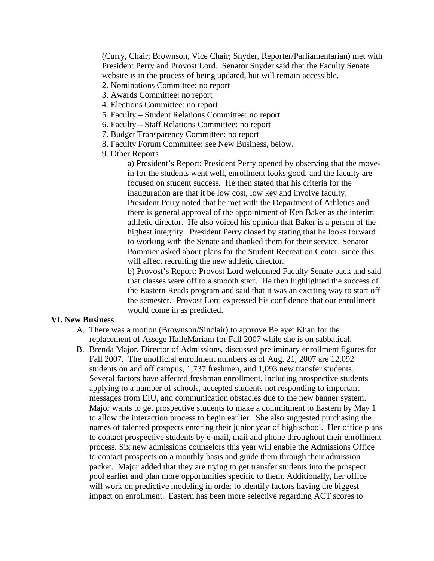(Curry, Chair; Brownson, Vice Chair; Snyder, Reporter/Parliamentarian) met with President Perry and Provost Lord. Senator Snyder said that the Faculty Senate website is in the process of being updated, but will remain accessible.

- 2. Nominations Committee: no report
- 3. Awards Committee: no report
- 4. Elections Committee: no report
- 5. Faculty Student Relations Committee: no report
- 6. Faculty Staff Relations Committee: no report
- 7. Budget Transparency Committee: no report
- 8. Faculty Forum Committee: see New Business, below.
- 9. Other Reports

a) President's Report: President Perry opened by observing that the movein for the students went well, enrollment looks good, and the faculty are focused on student success. He then stated that his criteria for the inauguration are that it be low cost, low key and involve faculty. President Perry noted that he met with the Department of Athletics and there is general approval of the appointment of Ken Baker as the interim athletic director. He also voiced his opinion that Baker is a person of the highest integrity. President Perry closed by stating that he looks forward to working with the Senate and thanked them for their service. Senator Pommier asked about plans for the Student Recreation Center, since this will affect recruiting the new athletic director.

b) Provost's Report: Provost Lord welcomed Faculty Senate back and said that classes were off to a smooth start. He then highlighted the success of the Eastern Reads program and said that it was an exciting way to start off the semester. Provost Lord expressed his confidence that our enrollment would come in as predicted.

### **VI. New Business**

- A. There was a motion (Brownson/Sinclair) to approve Belayet Khan for the replacement of Assege HaileMariam for Fall 2007 while she is on sabbatical.
- B. Brenda Major, Director of Admissions, discussed preliminary enrollment figures for Fall 2007. The unofficial enrollment numbers as of Aug. 21, 2007 are 12,092 students on and off campus, 1,737 freshmen, and 1,093 new transfer students. Several factors have affected freshman enrollment, including prospective students applying to a number of schools, accepted students not responding to important messages from EIU, and communication obstacles due to the new banner system. Major wants to get prospective students to make a commitment to Eastern by May 1 to allow the interaction process to begin earlier. She also suggested purchasing the names of talented prospects entering their junior year of high school. Her office plans to contact prospective students by e-mail, mail and phone throughout their enrollment process. Six new admissions counselors this year will enable the Admissions Office to contact prospects on a monthly basis and guide them through their admission packet. Major added that they are trying to get transfer students into the prospect pool earlier and plan more opportunities specific to them. Additionally, her office will work on predictive modeling in order to identify factors having the biggest impact on enrollment. Eastern has been more selective regarding ACT scores to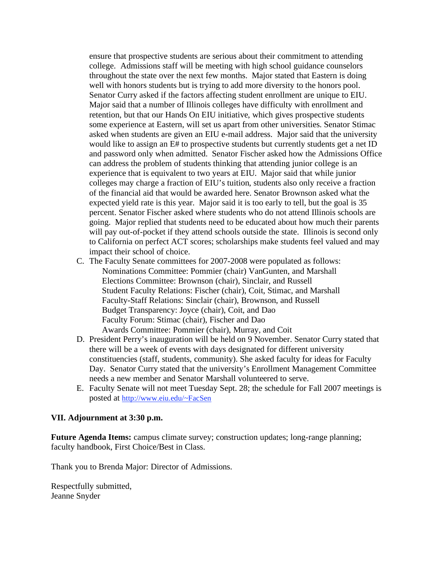ensure that prospective students are serious about their commitment to attending college. Admissions staff will be meeting with high school guidance counselors throughout the state over the next few months. Major stated that Eastern is doing well with honors students but is trying to add more diversity to the honors pool. Senator Curry asked if the factors affecting student enrollment are unique to EIU. Major said that a number of Illinois colleges have difficulty with enrollment and retention, but that our Hands On EIU initiative, which gives prospective students some experience at Eastern, will set us apart from other universities. Senator Stimac asked when students are given an EIU e-mail address. Major said that the university would like to assign an E# to prospective students but currently students get a net ID and password only when admitted. Senator Fischer asked how the Admissions Office can address the problem of students thinking that attending junior college is an experience that is equivalent to two years at EIU. Major said that while junior colleges may charge a fraction of EIU's tuition, students also only receive a fraction of the financial aid that would be awarded here. Senator Brownson asked what the expected yield rate is this year. Major said it is too early to tell, but the goal is 35 percent. Senator Fischer asked where students who do not attend Illinois schools are going. Major replied that students need to be educated about how much their parents will pay out-of-pocket if they attend schools outside the state. Illinois is second only to California on perfect ACT scores; scholarships make students feel valued and may impact their school of choice.

- C. The Faculty Senate committees for 2007-2008 were populated as follows: Nominations Committee: Pommier (chair) VanGunten, and Marshall Elections Committee: Brownson (chair), Sinclair, and Russell Student Faculty Relations: Fischer (chair), Coit, Stimac, and Marshall Faculty-Staff Relations: Sinclair (chair), Brownson, and Russell Budget Transparency: Joyce (chair), Coit, and Dao Faculty Forum: Stimac (chair), Fischer and Dao Awards Committee: Pommier (chair), Murray, and Coit
- D. President Perry's inauguration will be held on 9 November. Senator Curry stated that there will be a week of events with days designated for different university constituencies (staff, students, community). She asked faculty for ideas for Faculty Day. Senator Curry stated that the university's Enrollment Management Committee needs a new member and Senator Marshall volunteered to serve.
- E. Faculty Senate will not meet Tuesday Sept. 28; the schedule for Fall 2007 meetings is posted at http://www.eiu.edu/~FacSen

### **VII. Adjournment at 3:30 p.m.**

**Future Agenda Items:** campus climate survey; construction updates; long-range planning; faculty handbook, First Choice/Best in Class.

Thank you to Brenda Major: Director of Admissions.

Respectfully submitted, Jeanne Snyder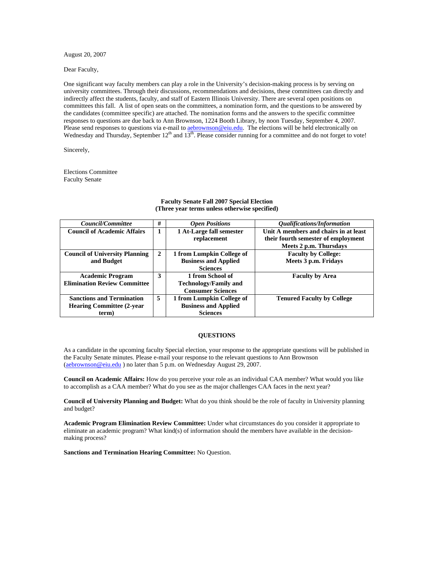August 20, 2007

Dear Faculty,

One significant way faculty members can play a role in the University's decision-making process is by serving on university committees. Through their discussions, recommendations and decisions, these committees can directly and indirectly affect the students, faculty, and staff of Eastern Illinois University. There are several open positions on committees this fall. A list of open seats on the committees, a nomination form, and the questions to be answered by the candidates (committee specific) are attached. The nomination forms and the answers to the specific committee responses to questions are due back to Ann Brownson, 1224 Booth Library, by noon Tuesday, September 4, 2007. Please send responses to questions via e-mail to **aebrownson@eiu.edu**. The elections will be held electronically on Wednesday and Thursday, September 12<sup>th</sup> and 13<sup>th</sup>. Please consider running for a committee and do not forget to vote!

Sincerely,

Elections Committee Faculty Senate

| <i>Council/Committee</i>              | #              | <b>Open Positions</b>        | <i><b>Oualifications/Information</b></i> |
|---------------------------------------|----------------|------------------------------|------------------------------------------|
| <b>Council of Academic Affairs</b>    | 1              | 1 At-Large fall semester     | Unit A members and chairs in at least    |
|                                       |                | replacement                  | their fourth semester of employment      |
|                                       |                |                              | Meets 2 p.m. Thursdays                   |
| <b>Council of University Planning</b> | $\overline{2}$ | 1 from Lumpkin College of    | <b>Faculty by College:</b>               |
| and Budget                            |                | <b>Business and Applied</b>  | Meets 3 p.m. Fridays                     |
|                                       |                | <b>Sciences</b>              |                                          |
| <b>Academic Program</b>               | 3              | 1 from School of             | <b>Faculty by Area</b>                   |
| <b>Elimination Review Committee</b>   |                | <b>Technology/Family and</b> |                                          |
|                                       |                | <b>Consumer Sciences</b>     |                                          |
| <b>Sanctions and Termination</b>      | 5              | 1 from Lumpkin College of    | <b>Tenured Faculty by College</b>        |
| <b>Hearing Committee (2-year)</b>     |                | <b>Business and Applied</b>  |                                          |
| term)                                 |                | <b>Sciences</b>              |                                          |

#### **Faculty Senate Fall 2007 Special Election (Three year terms unless otherwise specified)**

### **QUESTIONS**

As a candidate in the upcoming faculty Special election, your response to the appropriate questions will be published in the Faculty Senate minutes. Please e-mail your response to the relevant questions to Ann Brownson (aebrownson@eiu.edu ) no later than 5 p.m. on Wednesday August 29, 2007.

**Council on Academic Affairs:** How do you perceive your role as an individual CAA member? What would you like to accomplish as a CAA member? What do you see as the major challenges CAA faces in the next year?

**Council of University Planning and Budget:** What do you think should be the role of faculty in University planning and budget?

**Academic Program Elimination Review Committee:** Under what circumstances do you consider it appropriate to eliminate an academic program? What kind(s) of information should the members have available in the decisionmaking process?

**Sanctions and Termination Hearing Committee:** No Question.